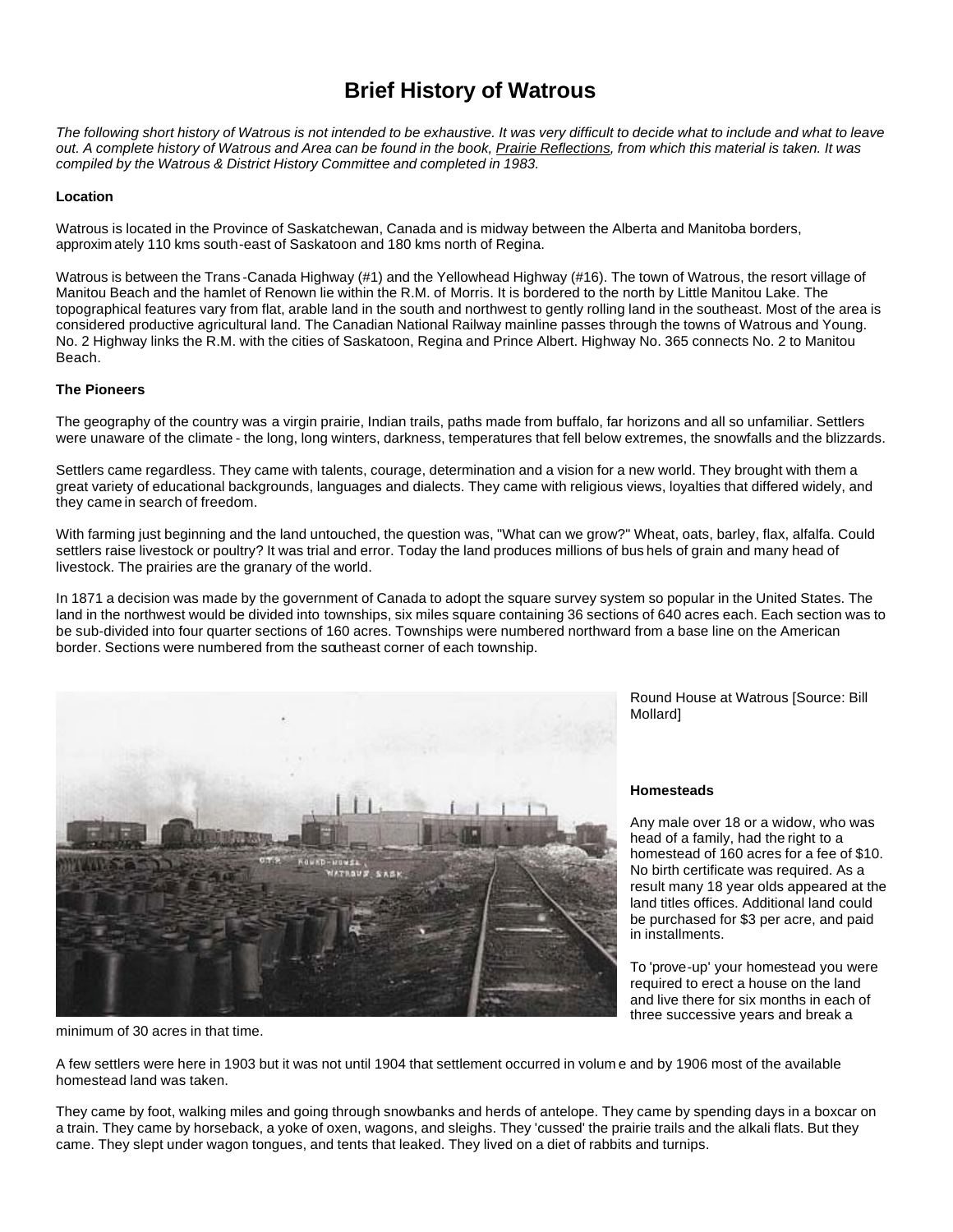# **Brief History of Watrous**

*The following short history of Watrous is not intended to be exhaustive. It was very difficult to decide what to include and what to leave out. A complete history of Watrous and Area can be found in the book, Prairie Reflections, from which this material is taken. It was compiled by the Watrous & District History Committee and completed in 1983.* 

## **Location**

Watrous is located in the Province of Saskatchewan, Canada and is midway between the Alberta and Manitoba borders, approxim ately 110 kms south-east of Saskatoon and 180 kms north of Regina.

Watrous is between the Trans-Canada Highway (#1) and the Yellowhead Highway (#16). The town of Watrous, the resort village of Manitou Beach and the hamlet of Renown lie within the R.M. of Morris. It is bordered to the north by Little Manitou Lake. The topographical features vary from flat, arable land in the south and northwest to gently rolling land in the southeast. Most of the area is considered productive agricultural land. The Canadian National Railway mainline passes through the towns of Watrous and Young. No. 2 Highway links the R.M. with the cities of Saskatoon, Regina and Prince Albert. Highway No. 365 connects No. 2 to Manitou Beach.

## **The Pioneers**

The geography of the country was a virgin prairie, Indian trails, paths made from buffalo, far horizons and all so unfamiliar. Settlers were unaware of the climate - the long, long winters, darkness, temperatures that fell below extremes, the snowfalls and the blizzards.

Settlers came regardless. They came with talents, courage, determination and a vision for a new world. They brought with them a great variety of educational backgrounds, languages and dialects. They came with religious views, loyalties that differed widely, and they came in search of freedom.

With farming just beginning and the land untouched, the question was, "What can we grow?" Wheat, oats, barley, flax, alfalfa. Could settlers raise livestock or poultry? It was trial and error. Today the land produces millions of bus hels of grain and many head of livestock. The prairies are the granary of the world.

In 1871 a decision was made by the government of Canada to adopt the square survey system so popular in the United States. The land in the northwest would be divided into townships, six miles square containing 36 sections of 640 acres each. Each section was to be sub-divided into four quarter sections of 160 acres. Townships were numbered northward from a base line on the American border. Sections were numbered from the southeast corner of each township.



minimum of 30 acres in that time.

Round House at Watrous [Source: Bill Mollard]

#### **Homesteads**

Any male over 18 or a widow, who was head of a family, had the right to a homestead of 160 acres for a fee of \$10. No birth certificate was required. As a result many 18 year olds appeared at the land titles offices. Additional land could be purchased for \$3 per acre, and paid in installments.

To 'prove-up' your homestead you were required to erect a house on the land and live there for six months in each of three successive years and break a

A few settlers were here in 1903 but it was not until 1904 that settlement occurred in volum e and by 1906 most of the available homestead land was taken.

They came by foot, walking miles and going through snowbanks and herds of antelope. They came by spending days in a boxcar on a train. They came by horseback, a yoke of oxen, wagons, and sleighs. They 'cussed' the prairie trails and the alkali flats. But they came. They slept under wagon tongues, and tents that leaked. They lived on a diet of rabbits and turnips.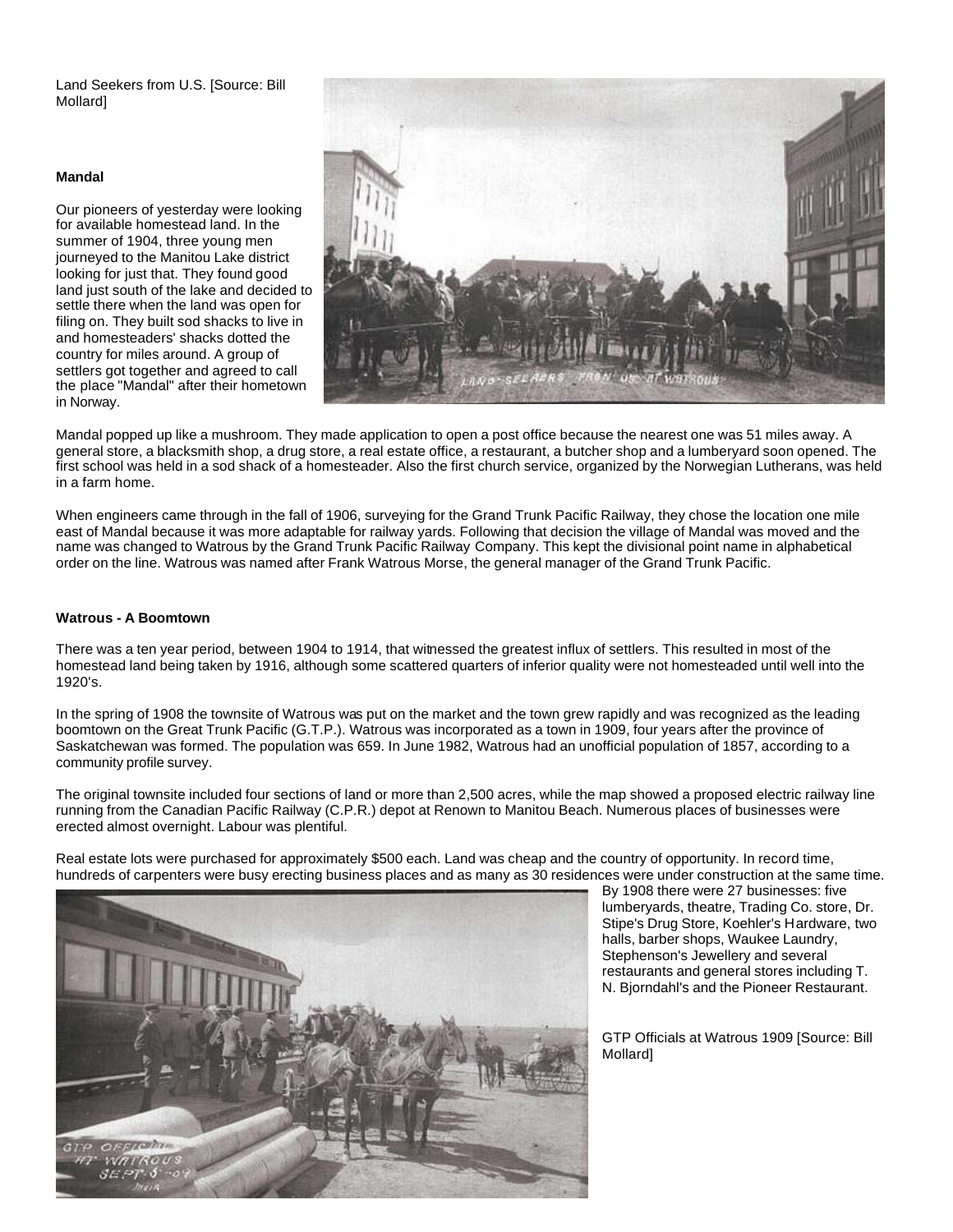Land Seekers from U.S. [Source: Bill Mollard]

#### **Mandal**

Our pioneers of yesterday were looking for available homestead land. In the summer of 1904, three young men journeyed to the Manitou Lake district looking for just that. They found good land just south of the lake and decided to settle there when the land was open for filing on. They built sod shacks to live in and homesteaders' shacks dotted the country for miles around. A group of settlers got together and agreed to call the place "Mandal" after their hometown in Norway.



Mandal popped up like a mushroom. They made application to open a post office because the nearest one was 51 miles away. A general store, a blacksmith shop, a drug store, a real estate office, a restaurant, a butcher shop and a lumberyard soon opened. The first school was held in a sod shack of a homesteader. Also the first church service, organized by the Norwegian Lutherans, was held in a farm home.

When engineers came through in the fall of 1906, surveying for the Grand Trunk Pacific Railway, they chose the location one mile east of Mandal because it was more adaptable for railway yards. Following that decision the village of Mandal was moved and the name was changed to Watrous by the Grand Trunk Pacific Railway Company. This kept the divisional point name in alphabetical order on the line. Watrous was named after Frank Watrous Morse, the general manager of the Grand Trunk Pacific.

## **Watrous - A Boomtown**

There was a ten year period, between 1904 to 1914, that witnessed the greatest influx of settlers. This resulted in most of the homestead land being taken by 1916, although some scattered quarters of inferior quality were not homesteaded until well into the 1920's.

In the spring of 1908 the townsite of Watrous was put on the market and the town grew rapidly and was recognized as the leading boomtown on the Great Trunk Pacific (G.T.P.). Watrous was incorporated as a town in 1909, four years after the province of Saskatchewan was formed. The population was 659. In June 1982, Watrous had an unofficial population of 1857, according to a community profile survey.

The original townsite included four sections of land or more than 2,500 acres, while the map showed a proposed electric railway line running from the Canadian Pacific Railway (C.P.R.) depot at Renown to Manitou Beach. Numerous places of businesses were erected almost overnight. Labour was plentiful.

Real estate lots were purchased for approximately \$500 each. Land was cheap and the country of opportunity. In record time, hundreds of carpenters were busy erecting business places and as many as 30 residences were under construction at the same time.



By 1908 there were 27 businesses: five lumberyards, theatre, Trading Co. store, Dr. Stipe's Drug Store, Koehler's Hardware, two halls, barber shops, Waukee Laundry, Stephenson's Jewellery and several restaurants and general stores including T. N. Bjorndahl's and the Pioneer Restaurant.

GTP Officials at Watrous 1909 [Source: Bill Mollard]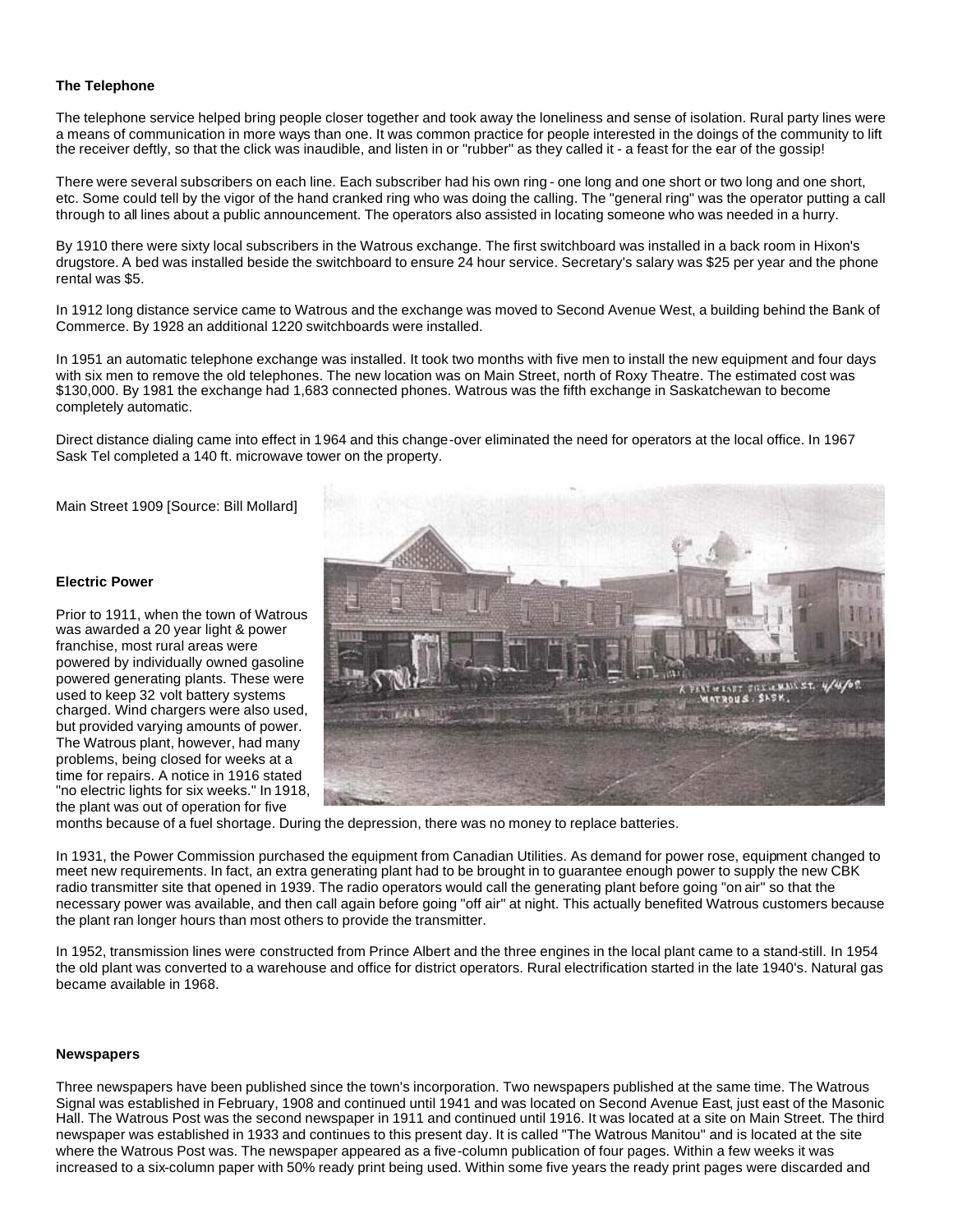# **The Telephone**

The telephone service helped bring people closer together and took away the loneliness and sense of isolation. Rural party lines were a means of communication in more ways than one. It was common practice for people interested in the doings of the community to lift the receiver deftly, so that the click was inaudible, and listen in or "rubber" as they called it - a feast for the ear of the gossip!

There were several subscribers on each line. Each subscriber had his own ring - one long and one short or two long and one short, etc. Some could tell by the vigor of the hand cranked ring who was doing the calling. The "general ring" was the operator putting a call through to all lines about a public announcement. The operators also assisted in locating someone who was needed in a hurry.

By 1910 there were sixty local subscribers in the Watrous exchange. The first switchboard was installed in a back room in Hixon's drugstore. A bed was installed beside the switchboard to ensure 24 hour service. Secretary's salary was \$25 per year and the phone rental was \$5.

In 1912 long distance service came to Watrous and the exchange was moved to Second Avenue West, a building behind the Bank of Commerce. By 1928 an additional 1220 switchboards were installed.

In 1951 an automatic telephone exchange was installed. It took two months with five men to install the new equipment and four days with six men to remove the old telephones. The new location was on Main Street, north of Roxy Theatre. The estimated cost was \$130,000. By 1981 the exchange had 1,683 connected phones. Watrous was the fifth exchange in Saskatchewan to become completely automatic.

Direct distance dialing came into effect in 1964 and this change-over eliminated the need for operators at the local office. In 1967 Sask Tel completed a 140 ft. microwave tower on the property.

Main Street 1909 [Source: Bill Mollard]

# **Electric Power**

Prior to 1911, when the town of Watrous was awarded a 20 year light & power franchise, most rural areas were powered by individually owned gasoline powered generating plants. These were used to keep 32 volt battery systems charged. Wind chargers were also used, but provided varying amounts of power. The Watrous plant, however, had many problems, being closed for weeks at a time for repairs. A notice in 1916 stated "no electric lights for six weeks." In 1918, the plant was out of operation for five



months because of a fuel shortage. During the depression, there was no money to replace batteries.

In 1931, the Power Commission purchased the equipment from Canadian Utilities. As demand for power rose, equipment changed to meet new requirements. In fact, an extra generating plant had to be brought in to guarantee enough power to supply the new CBK radio transmitter site that opened in 1939. The radio operators would call the generating plant before going "on air" so that the necessary power was available, and then call again before going "off air" at night. This actually benefited Watrous customers because the plant ran longer hours than most others to provide the transmitter.

In 1952, transmission lines were constructed from Prince Albert and the three engines in the local plant came to a stand-still. In 1954 the old plant was converted to a warehouse and office for district operators. Rural electrification started in the late 1940's. Natural gas became available in 1968.

#### **Newspapers**

Three newspapers have been published since the town's incorporation. Two newspapers published at the same time. The Watrous Signal was established in February, 1908 and continued until 1941 and was located on Second Avenue East, just east of the Masonic Hall. The Watrous Post was the second newspaper in 1911 and continued until 1916. It was located at a site on Main Street. The third newspaper was established in 1933 and continues to this present day. It is called "The Watrous Manitou" and is located at the site where the Watrous Post was. The newspaper appeared as a five-column publication of four pages. Within a few weeks it was increased to a six-column paper with 50% ready print being used. Within some five years the ready print pages were discarded and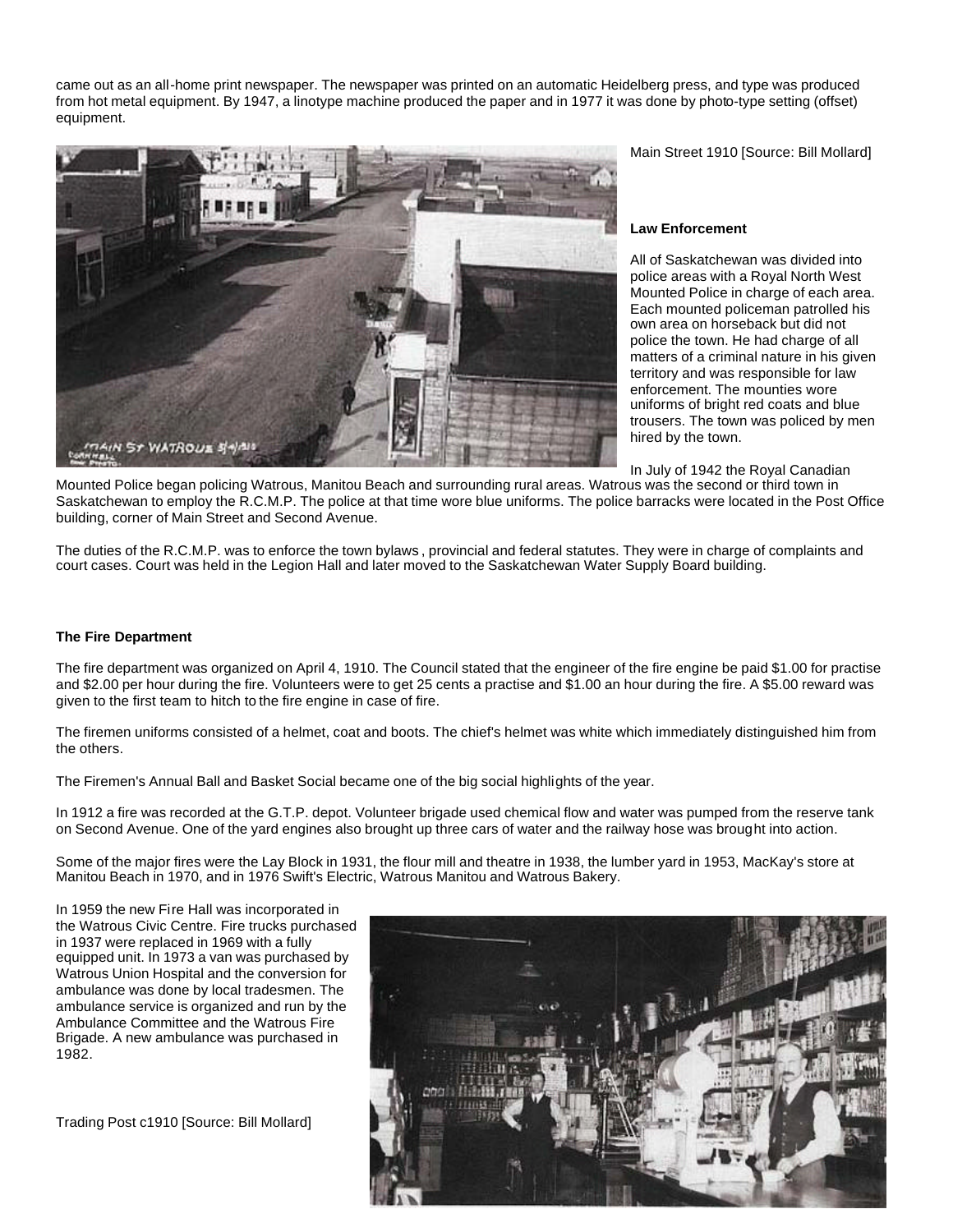came out as an all-home print newspaper. The newspaper was printed on an automatic Heidelberg press, and type was produced from hot metal equipment. By 1947, a linotype machine produced the paper and in 1977 it was done by photo-type setting (offset) equipment.



Main Street 1910 [Source: Bill Mollard]

## **Law Enforcement**

All of Saskatchewan was divided into police areas with a Royal North West Mounted Police in charge of each area. Each mounted policeman patrolled his own area on horseback but did not police the town. He had charge of all matters of a criminal nature in his given territory and was responsible for law enforcement. The mounties wore uniforms of bright red coats and blue trousers. The town was policed by men hired by the town.

In July of 1942 the Royal Canadian

Mounted Police began policing Watrous, Manitou Beach and surrounding rural areas. Watrous was the second or third town in Saskatchewan to employ the R.C.M.P. The police at that time wore blue uniforms. The police barracks were located in the Post Office building, corner of Main Street and Second Avenue.

The duties of the R.C.M.P. was to enforce the town bylaws , provincial and federal statutes. They were in charge of complaints and court cases. Court was held in the Legion Hall and later moved to the Saskatchewan Water Supply Board building.

# **The Fire Department**

The fire department was organized on April 4, 1910. The Council stated that the engineer of the fire engine be paid \$1.00 for practise and \$2.00 per hour during the fire. Volunteers were to get 25 cents a practise and \$1.00 an hour during the fire. A \$5.00 reward was given to the first team to hitch to the fire engine in case of fire.

The firemen uniforms consisted of a helmet, coat and boots. The chief's helmet was white which immediately distinguished him from the others.

The Firemen's Annual Ball and Basket Social became one of the big social highlights of the year.

In 1912 a fire was recorded at the G.T.P. depot. Volunteer brigade used chemical flow and water was pumped from the reserve tank on Second Avenue. One of the yard engines also brought up three cars of water and the railway hose was brought into action.

Some of the major fires were the Lay Block in 1931, the flour mill and theatre in 1938, the lumber yard in 1953, MacKay's store at Manitou Beach in 1970, and in 1976 Swift's Electric, Watrous Manitou and Watrous Bakery.

In 1959 the new Fire Hall was incorporated in the Watrous Civic Centre. Fire trucks purchased in 1937 were replaced in 1969 with a fully equipped unit. In 1973 a van was purchased by Watrous Union Hospital and the conversion for ambulance was done by local tradesmen. The ambulance service is organized and run by the Ambulance Committee and the Watrous Fire Brigade. A new ambulance was purchased in 1982.

Trading Post c1910 [Source: Bill Mollard]

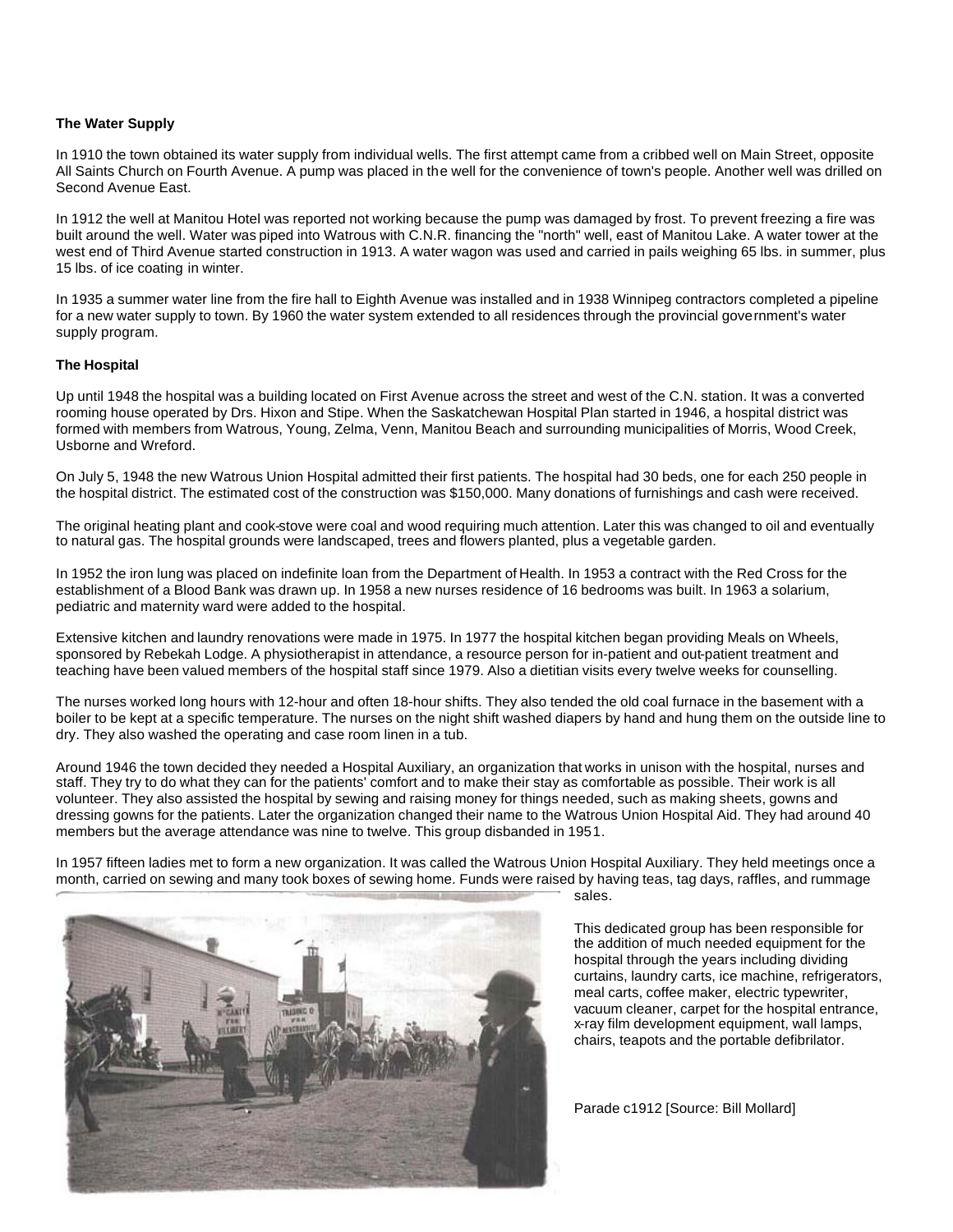## **The Water Supply**

In 1910 the town obtained its water supply from individual wells. The first attempt came from a cribbed well on Main Street, opposite All Saints Church on Fourth Avenue. A pump was placed in the well for the convenience of town's people. Another well was drilled on Second Avenue East.

In 1912 the well at Manitou Hotel was reported not working because the pump was damaged by frost. To prevent freezing a fire was built around the well. Water was piped into Watrous with C.N.R. financing the "north" well, east of Manitou Lake. A water tower at the west end of Third Avenue started construction in 1913. A water wagon was used and carried in pails weighing 65 lbs. in summer, plus 15 lbs. of ice coating in winter.

In 1935 a summer water line from the fire hall to Eighth Avenue was installed and in 1938 Winnipeg contractors completed a pipeline for a new water supply to town. By 1960 the water system extended to all residences through the provincial government's water supply program.

## **The Hospital**

Up until 1948 the hospital was a building located on First Avenue across the street and west of the C.N. station. It was a converted rooming house operated by Drs. Hixon and Stipe. When the Saskatchewan Hospital Plan started in 1946, a hospital district was formed with members from Watrous, Young, Zelma, Venn, Manitou Beach and surrounding municipalities of Morris, Wood Creek, Usborne and Wreford.

On July 5, 1948 the new Watrous Union Hospital admitted their first patients. The hospital had 30 beds, one for each 250 people in the hospital district. The estimated cost of the construction was \$150,000. Many donations of furnishings and cash were received.

The original heating plant and cook-stove were coal and wood requiring much attention. Later this was changed to oil and eventually to natural gas. The hospital grounds were landscaped, trees and flowers planted, plus a vegetable garden.

In 1952 the iron lung was placed on indefinite loan from the Department of Health. In 1953 a contract with the Red Cross for the establishment of a Blood Bank was drawn up. In 1958 a new nurses residence of 16 bedrooms was built. In 1963 a solarium, pediatric and maternity ward were added to the hospital.

Extensive kitchen and laundry renovations were made in 1975. In 1977 the hospital kitchen began providing Meals on Wheels, sponsored by Rebekah Lodge. A physiotherapist in attendance, a resource person for in-patient and out-patient treatment and teaching have been valued members of the hospital staff since 1979. Also a dietitian visits every twelve weeks for counselling.

The nurses worked long hours with 12-hour and often 18-hour shifts. They also tended the old coal furnace in the basement with a boiler to be kept at a specific temperature. The nurses on the night shift washed diapers by hand and hung them on the outside line to dry. They also washed the operating and case room linen in a tub.

Around 1946 the town decided they needed a Hospital Auxiliary, an organization that works in unison with the hospital, nurses and staff. They try to do what they can for the patients' comfort and to make their stay as comfortable as possible. Their work is all volunteer. They also assisted the hospital by sewing and raising money for things needed, such as making sheets, gowns and dressing gowns for the patients. Later the organization changed their name to the Watrous Union Hospital Aid. They had around 40 members but the average attendance was nine to twelve. This group disbanded in 1951.

In 1957 fifteen ladies met to form a new organization. It was called the Watrous Union Hospital Auxiliary. They held meetings once a month, carried on sewing and many took boxes of sewing home. Funds were raised by having teas, tag days, raffles, and rummage



sales.

This dedicated group has been responsible for the addition of much needed equipment for the hospital through the years including dividing curtains, laundry carts, ice machine, refrigerators, meal carts, coffee maker, electric typewriter, vacuum cleaner, carpet for the hospital entrance, x-ray film development equipment, wall lamps, chairs, teapots and the portable defibrilator.

Parade c1912 [Source: Bill Mollard]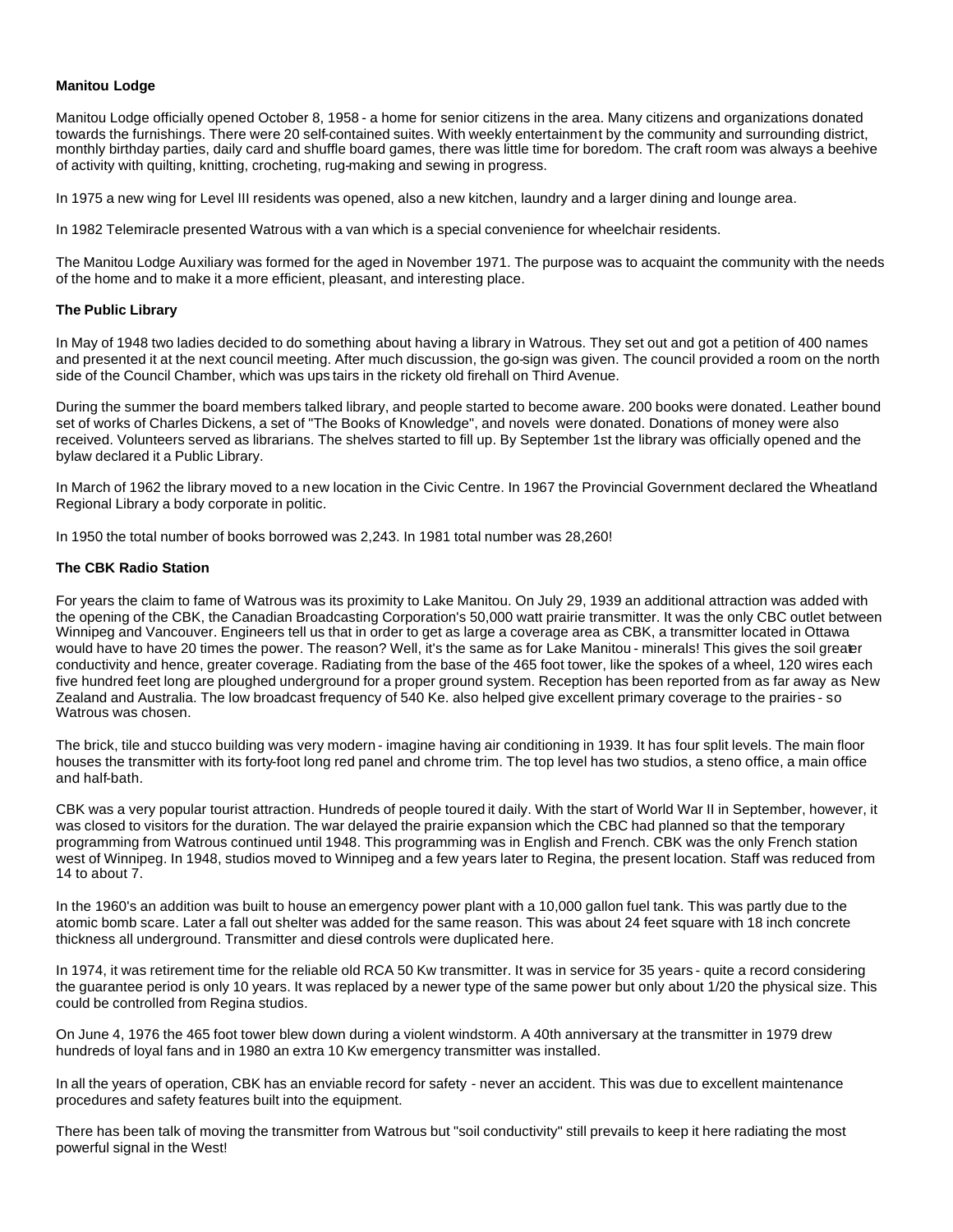# **Manitou Lodge**

Manitou Lodge officially opened October 8, 1958 - a home for senior citizens in the area. Many citizens and organizations donated towards the furnishings. There were 20 self-contained suites. With weekly entertainment by the community and surrounding district, monthly birthday parties, daily card and shuffle board games, there was little time for boredom. The craft room was always a beehive of activity with quilting, knitting, crocheting, rug-making and sewing in progress.

In 1975 a new wing for Level III residents was opened, also a new kitchen, laundry and a larger dining and lounge area.

In 1982 Telemiracle presented Watrous with a van which is a special convenience for wheelchair residents.

The Manitou Lodge Auxiliary was formed for the aged in November 1971. The purpose was to acquaint the community with the needs of the home and to make it a more efficient, pleasant, and interesting place.

#### **The Public Library**

In May of 1948 two ladies decided to do something about having a library in Watrous. They set out and got a petition of 400 names and presented it at the next council meeting. After much discussion, the go-sign was given. The council provided a room on the north side of the Council Chamber, which was ups tairs in the rickety old firehall on Third Avenue.

During the summer the board members talked library, and people started to become aware. 200 books were donated. Leather bound set of works of Charles Dickens, a set of "The Books of Knowledge", and novels were donated. Donations of money were also received. Volunteers served as librarians. The shelves started to fill up. By September 1st the library was officially opened and the bylaw declared it a Public Library.

In March of 1962 the library moved to a new location in the Civic Centre. In 1967 the Provincial Government declared the Wheatland Regional Library a body corporate in politic.

In 1950 the total number of books borrowed was 2,243. In 1981 total number was 28,260!

#### **The CBK Radio Station**

For years the claim to fame of Watrous was its proximity to Lake Manitou. On July 29, 1939 an additional attraction was added with the opening of the CBK, the Canadian Broadcasting Corporation's 50,000 watt prairie transmitter. It was the only CBC outlet between Winnipeg and Vancouver. Engineers tell us that in order to get as large a coverage area as CBK, a transmitter located in Ottawa would have to have 20 times the power. The reason? Well, it's the same as for Lake Manitou - minerals! This gives the soil greater conductivity and hence, greater coverage. Radiating from the base of the 465 foot tower, like the spokes of a wheel, 120 wires each five hundred feet long are ploughed underground for a proper ground system. Reception has been reported from as far away as New Zealand and Australia. The low broadcast frequency of 540 Ke. also helped give excellent primary coverage to the prairies - so Watrous was chosen.

The brick, tile and stucco building was very modern - imagine having air conditioning in 1939. It has four split levels. The main floor houses the transmitter with its forty-foot long red panel and chrome trim. The top level has two studios, a steno office, a main office and half-bath.

CBK was a very popular tourist attraction. Hundreds of people toured it daily. With the start of World War II in September, however, it was closed to visitors for the duration. The war delayed the prairie expansion which the CBC had planned so that the temporary programming from Watrous continued until 1948. This programming was in English and French. CBK was the only French station west of Winnipeg. In 1948, studios moved to Winnipeg and a few years later to Regina, the present location. Staff was reduced from 14 to about 7.

In the 1960's an addition was built to house an emergency power plant with a 10,000 gallon fuel tank. This was partly due to the atomic bomb scare. Later a fall out shelter was added for the same reason. This was about 24 feet square with 18 inch concrete thickness all underground. Transmitter and diesel controls were duplicated here.

In 1974, it was retirement time for the reliable old RCA 50 Kw transmitter. It was in service for 35 years - quite a record considering the guarantee period is only 10 years. It was replaced by a newer type of the same power but only about 1/20 the physical size. This could be controlled from Regina studios.

On June 4, 1976 the 465 foot tower blew down during a violent windstorm. A 40th anniversary at the transmitter in 1979 drew hundreds of loyal fans and in 1980 an extra 10 Kw emergency transmitter was installed.

In all the years of operation, CBK has an enviable record for safety - never an accident. This was due to excellent maintenance procedures and safety features built into the equipment.

There has been talk of moving the transmitter from Watrous but "soil conductivity" still prevails to keep it here radiating the most powerful signal in the West!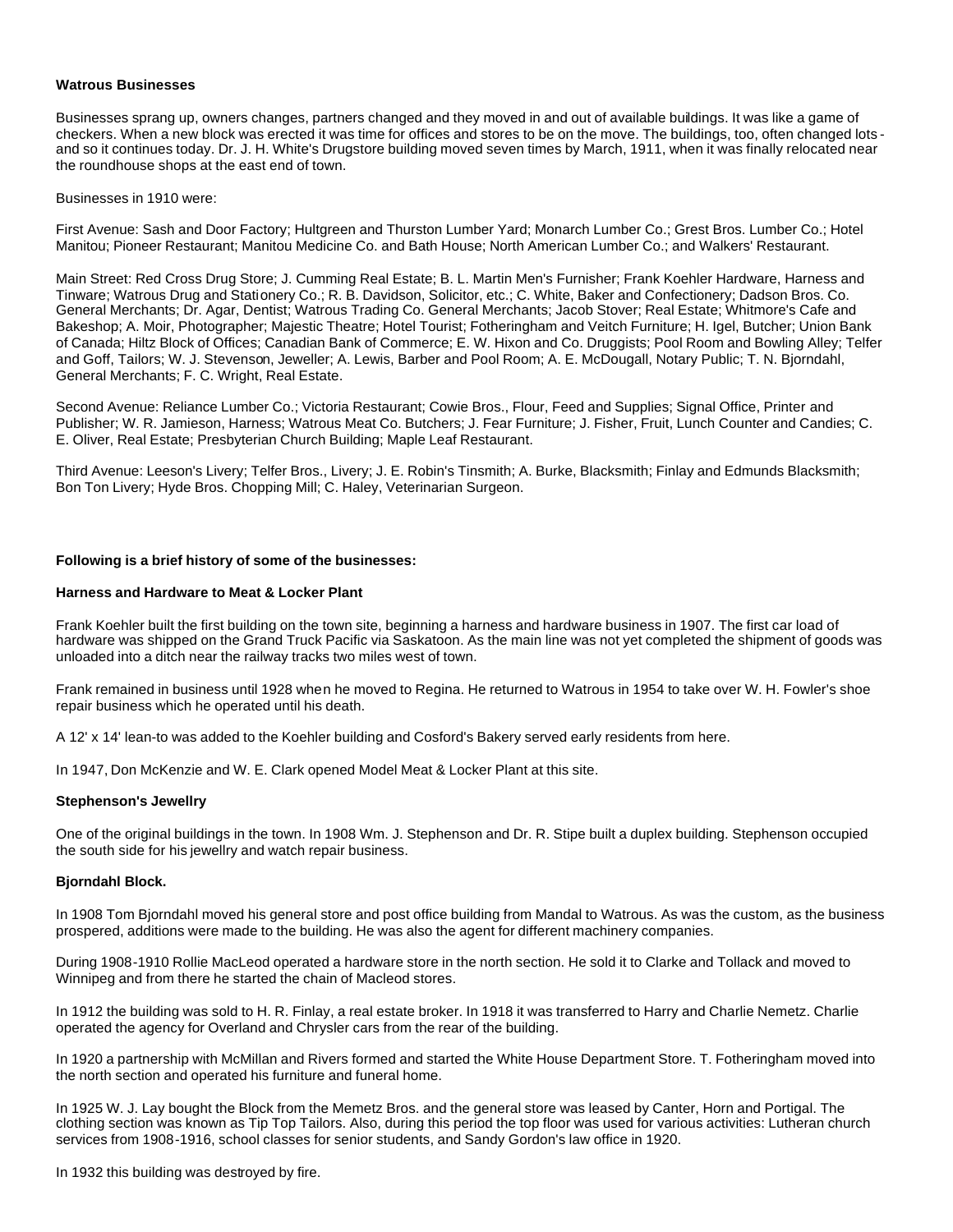#### **Watrous Businesses**

Businesses sprang up, owners changes, partners changed and they moved in and out of available buildings. It was like a game of checkers. When a new block was erected it was time for offices and stores to be on the move. The buildings, too, often changed lots and so it continues today. Dr. J. H. White's Drugstore building moved seven times by March, 1911, when it was finally relocated near the roundhouse shops at the east end of town.

Businesses in 1910 were:

First Avenue: Sash and Door Factory; Hultgreen and Thurston Lumber Yard; Monarch Lumber Co.; Grest Bros. Lumber Co.; Hotel Manitou; Pioneer Restaurant; Manitou Medicine Co. and Bath House; North American Lumber Co.; and Walkers' Restaurant.

Main Street: Red Cross Drug Store; J. Cumming Real Estate; B. L. Martin Men's Furnisher; Frank Koehler Hardware, Harness and Tinware; Watrous Drug and Stationery Co.; R. B. Davidson, Solicitor, etc.; C. White, Baker and Confectionery; Dadson Bros. Co. General Merchants; Dr. Agar, Dentist; Watrous Trading Co. General Merchants; Jacob Stover; Real Estate; Whitmore's Cafe and Bakeshop; A. Moir, Photographer; Majestic Theatre; Hotel Tourist; Fotheringham and Veitch Furniture; H. Igel, Butcher; Union Bank of Canada; Hiltz Block of Offices; Canadian Bank of Commerce; E. W. Hixon and Co. Druggists; Pool Room and Bowling Alley; Telfer and Goff, Tailors; W. J. Stevenson, Jeweller; A. Lewis, Barber and Pool Room; A. E. McDougall, Notary Public; T. N. Bjorndahl, General Merchants; F. C. Wright, Real Estate.

Second Avenue: Reliance Lumber Co.; Victoria Restaurant; Cowie Bros., Flour, Feed and Supplies; Signal Office, Printer and Publisher; W. R. Jamieson, Harness; Watrous Meat Co. Butchers; J. Fear Furniture; J. Fisher, Fruit, Lunch Counter and Candies; C. E. Oliver, Real Estate; Presbyterian Church Building; Maple Leaf Restaurant.

Third Avenue: Leeson's Livery; Telfer Bros., Livery; J. E. Robin's Tinsmith; A. Burke, Blacksmith; Finlay and Edmunds Blacksmith; Bon Ton Livery; Hyde Bros. Chopping Mill; C. Haley, Veterinarian Surgeon.

## **Following is a brief history of some of the businesses:**

#### **Harness and Hardware to Meat & Locker Plant**

Frank Koehler built the first building on the town site, beginning a harness and hardware business in 1907. The first car load of hardware was shipped on the Grand Truck Pacific via Saskatoon. As the main line was not yet completed the shipment of goods was unloaded into a ditch near the railway tracks two miles west of town.

Frank remained in business until 1928 when he moved to Regina. He returned to Watrous in 1954 to take over W. H. Fowler's shoe repair business which he operated until his death.

A 12' x 14' lean-to was added to the Koehler building and Cosford's Bakery served early residents from here.

In 1947, Don McKenzie and W. E. Clark opened Model Meat & Locker Plant at this site.

# **Stephenson's Jewellry**

One of the original buildings in the town. In 1908 Wm. J. Stephenson and Dr. R. Stipe built a duplex building. Stephenson occupied the south side for his jewellry and watch repair business.

# **Bjorndahl Block.**

In 1908 Tom Bjorndahl moved his general store and post office building from Mandal to Watrous. As was the custom, as the business prospered, additions were made to the building. He was also the agent for different machinery companies.

During 1908-1910 Rollie MacLeod operated a hardware store in the north section. He sold it to Clarke and Tollack and moved to Winnipeg and from there he started the chain of Macleod stores.

In 1912 the building was sold to H. R. Finlay, a real estate broker. In 1918 it was transferred to Harry and Charlie Nemetz. Charlie operated the agency for Overland and Chrysler cars from the rear of the building.

In 1920 a partnership with McMillan and Rivers formed and started the White House Department Store. T. Fotheringham moved into the north section and operated his furniture and funeral home.

In 1925 W. J. Lay bought the Block from the Memetz Bros. and the general store was leased by Canter, Horn and Portigal. The clothing section was known as Tip Top Tailors. Also, during this period the top floor was used for various activities: Lutheran church services from 1908-1916, school classes for senior students, and Sandy Gordon's law office in 1920.

In 1932 this building was destroyed by fire.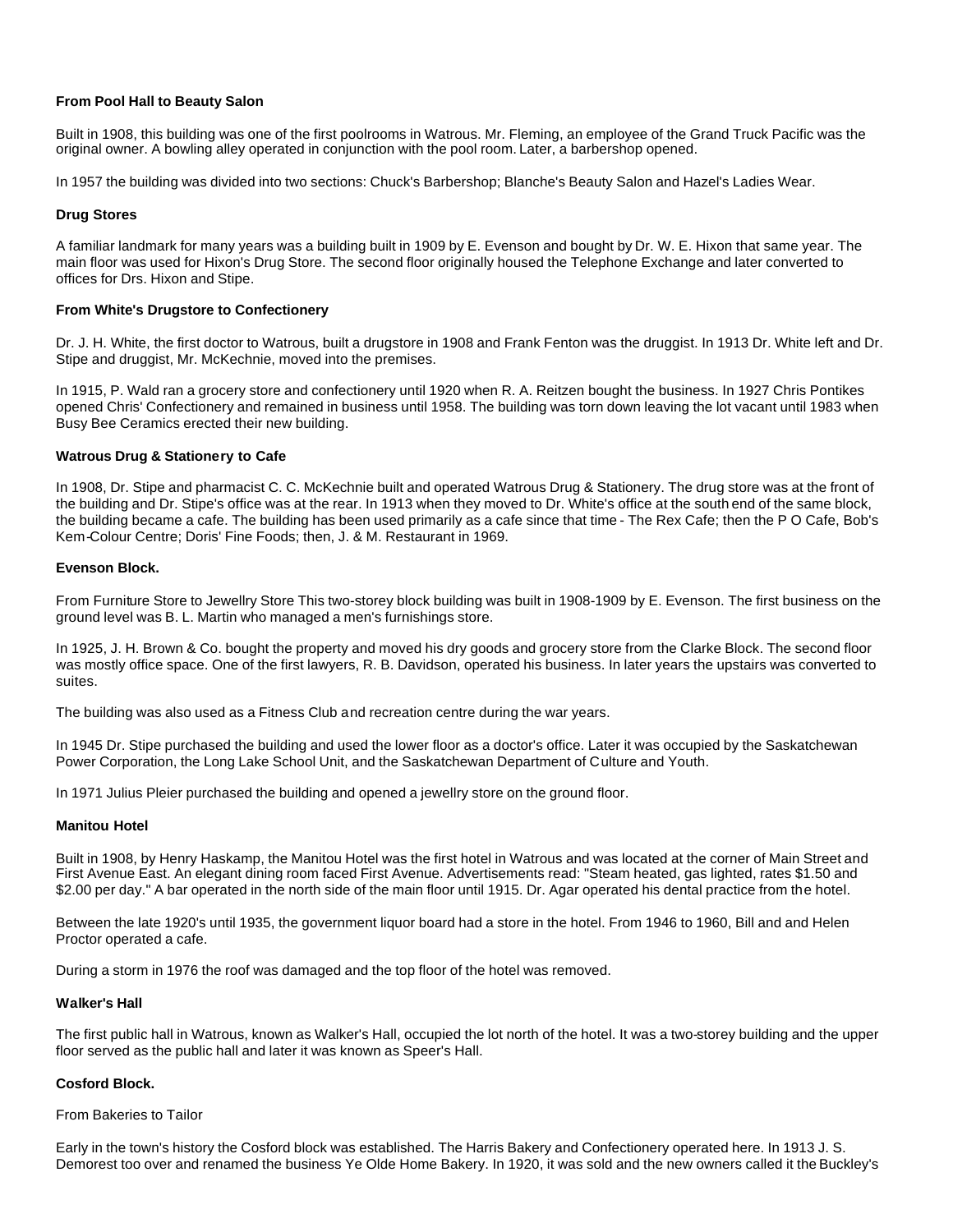# **From Pool Hall to Beauty Salon**

Built in 1908, this building was one of the first poolrooms in Watrous. Mr. Fleming, an employee of the Grand Truck Pacific was the original owner. A bowling alley operated in conjunction with the pool room. Later, a barbershop opened.

In 1957 the building was divided into two sections: Chuck's Barbershop; Blanche's Beauty Salon and Hazel's Ladies Wear.

# **Drug Stores**

A familiar landmark for many years was a building built in 1909 by E. Evenson and bought by Dr. W. E. Hixon that same year. The main floor was used for Hixon's Drug Store. The second floor originally housed the Telephone Exchange and later converted to offices for Drs. Hixon and Stipe.

## **From White's Drugstore to Confectionery**

Dr. J. H. White, the first doctor to Watrous, built a drugstore in 1908 and Frank Fenton was the druggist. In 1913 Dr. White left and Dr. Stipe and druggist, Mr. McKechnie, moved into the premises.

In 1915, P. Wald ran a grocery store and confectionery until 1920 when R. A. Reitzen bought the business. In 1927 Chris Pontikes opened Chris' Confectionery and remained in business until 1958. The building was torn down leaving the lot vacant until 1983 when Busy Bee Ceramics erected their new building.

## **Watrous Drug & Stationery to Cafe**

In 1908, Dr. Stipe and pharmacist C. C. McKechnie built and operated Watrous Drug & Stationery. The drug store was at the front of the building and Dr. Stipe's office was at the rear. In 1913 when they moved to Dr. White's office at the south end of the same block, the building became a cafe. The building has been used primarily as a cafe since that time - The Rex Cafe; then the P O Cafe, Bob's Kem-Colour Centre; Doris' Fine Foods; then, J. & M. Restaurant in 1969.

## **Evenson Block.**

From Furniture Store to Jewellry Store This two-storey block building was built in 1908-1909 by E. Evenson. The first business on the ground level was B. L. Martin who managed a men's furnishings store.

In 1925, J. H. Brown & Co. bought the property and moved his dry goods and grocery store from the Clarke Block. The second floor was mostly office space. One of the first lawyers, R. B. Davidson, operated his business. In later years the upstairs was converted to suites.

The building was also used as a Fitness Club and recreation centre during the war years.

In 1945 Dr. Stipe purchased the building and used the lower floor as a doctor's office. Later it was occupied by the Saskatchewan Power Corporation, the Long Lake School Unit, and the Saskatchewan Department of Culture and Youth.

In 1971 Julius Pleier purchased the building and opened a jewellry store on the ground floor.

#### **Manitou Hotel**

Built in 1908, by Henry Haskamp, the Manitou Hotel was the first hotel in Watrous and was located at the corner of Main Street and First Avenue East. An elegant dining room faced First Avenue. Advertisements read: "Steam heated, gas lighted, rates \$1.50 and \$2.00 per day." A bar operated in the north side of the main floor until 1915. Dr. Agar operated his dental practice from the hotel.

Between the late 1920's until 1935, the government liquor board had a store in the hotel. From 1946 to 1960, Bill and and Helen Proctor operated a cafe.

During a storm in 1976 the roof was damaged and the top floor of the hotel was removed.

#### **Walker's Hall**

The first public hall in Watrous, known as Walker's Hall, occupied the lot north of the hotel. It was a two-storey building and the upper floor served as the public hall and later it was known as Speer's Hall.

# **Cosford Block.**

#### From Bakeries to Tailor

Early in the town's history the Cosford block was established. The Harris Bakery and Confectionery operated here. In 1913 J. S. Demorest too over and renamed the business Ye Olde Home Bakery. In 1920, it was sold and the new owners called it the Buckley's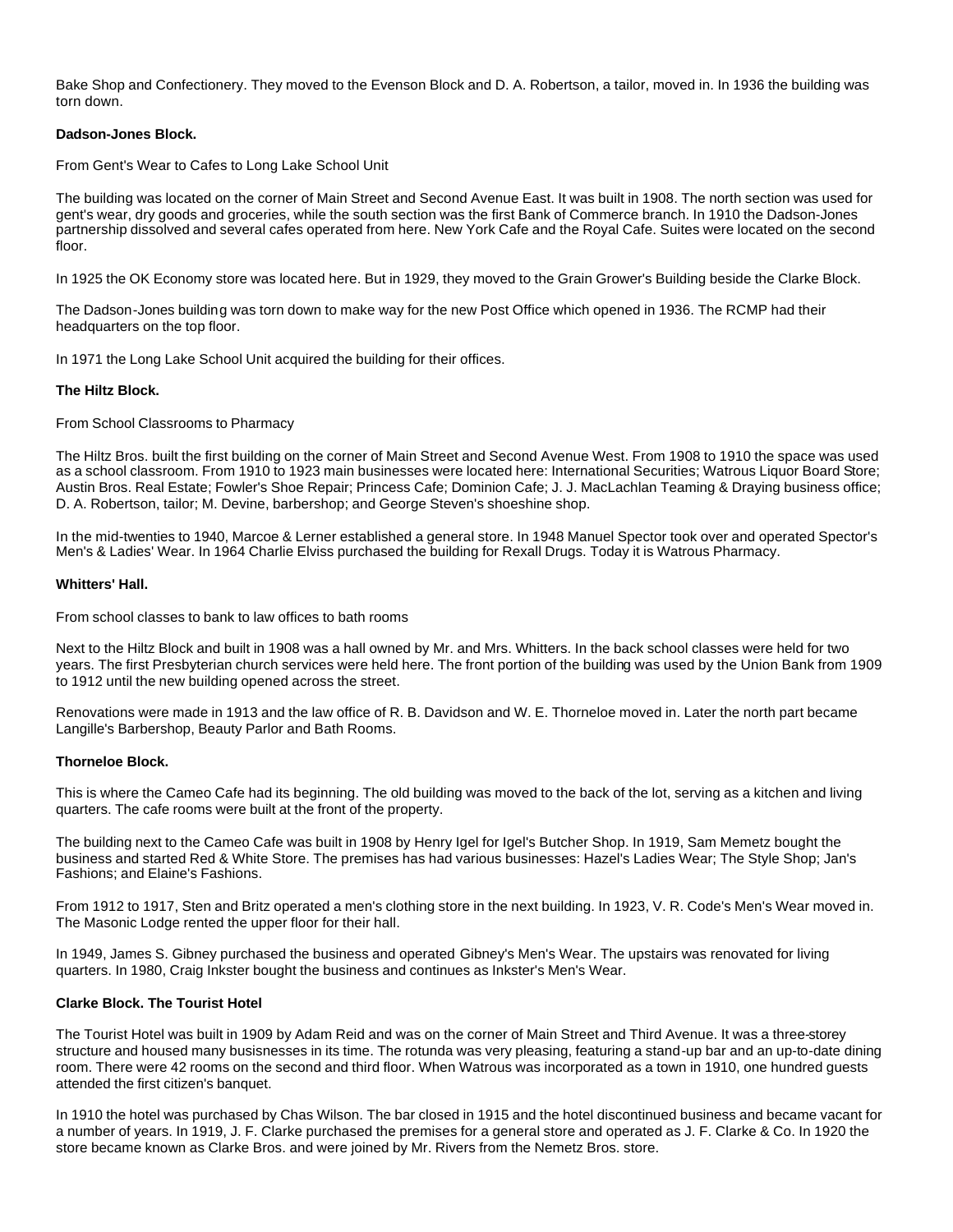Bake Shop and Confectionery. They moved to the Evenson Block and D. A. Robertson, a tailor, moved in. In 1936 the building was torn down.

## **Dadson-Jones Block.**

From Gent's Wear to Cafes to Long Lake School Unit

The building was located on the corner of Main Street and Second Avenue East. It was built in 1908. The north section was used for gent's wear, dry goods and groceries, while the south section was the first Bank of Commerce branch. In 1910 the Dadson-Jones partnership dissolved and several cafes operated from here. New York Cafe and the Royal Cafe. Suites were located on the second floor.

In 1925 the OK Economy store was located here. But in 1929, they moved to the Grain Grower's Building beside the Clarke Block.

The Dadson-Jones building was torn down to make way for the new Post Office which opened in 1936. The RCMP had their headquarters on the top floor.

In 1971 the Long Lake School Unit acquired the building for their offices.

## **The Hiltz Block.**

From School Classrooms to Pharmacy

The Hiltz Bros. built the first building on the corner of Main Street and Second Avenue West. From 1908 to 1910 the space was used as a school classroom. From 1910 to 1923 main businesses were located here: International Securities; Watrous Liquor Board Store; Austin Bros. Real Estate; Fowler's Shoe Repair; Princess Cafe; Dominion Cafe; J. J. MacLachlan Teaming & Draying business office; D. A. Robertson, tailor; M. Devine, barbershop; and George Steven's shoeshine shop.

In the mid-twenties to 1940, Marcoe & Lerner established a general store. In 1948 Manuel Spector took over and operated Spector's Men's & Ladies' Wear. In 1964 Charlie Elviss purchased the building for Rexall Drugs. Today it is Watrous Pharmacy.

## **Whitters' Hall.**

From school classes to bank to law offices to bath rooms

Next to the Hiltz Block and built in 1908 was a hall owned by Mr. and Mrs. Whitters. In the back school classes were held for two years. The first Presbyterian church services were held here. The front portion of the building was used by the Union Bank from 1909 to 1912 until the new building opened across the street.

Renovations were made in 1913 and the law office of R. B. Davidson and W. E. Thorneloe moved in. Later the north part became Langille's Barbershop, Beauty Parlor and Bath Rooms.

# **Thorneloe Block.**

This is where the Cameo Cafe had its beginning. The old building was moved to the back of the lot, serving as a kitchen and living quarters. The cafe rooms were built at the front of the property.

The building next to the Cameo Cafe was built in 1908 by Henry Igel for Igel's Butcher Shop. In 1919, Sam Memetz bought the business and started Red & White Store. The premises has had various businesses: Hazel's Ladies Wear; The Style Shop; Jan's Fashions; and Elaine's Fashions.

From 1912 to 1917, Sten and Britz operated a men's clothing store in the next building. In 1923, V. R. Code's Men's Wear moved in. The Masonic Lodge rented the upper floor for their hall.

In 1949, James S. Gibney purchased the business and operated Gibney's Men's Wear. The upstairs was renovated for living quarters. In 1980, Craig Inkster bought the business and continues as Inkster's Men's Wear.

#### **Clarke Block. The Tourist Hotel**

The Tourist Hotel was built in 1909 by Adam Reid and was on the corner of Main Street and Third Avenue. It was a three-storey structure and housed many busisnesses in its time. The rotunda was very pleasing, featuring a stand-up bar and an up-to-date dining room. There were 42 rooms on the second and third floor. When Watrous was incorporated as a town in 1910, one hundred guests attended the first citizen's banquet.

In 1910 the hotel was purchased by Chas Wilson. The bar closed in 1915 and the hotel discontinued business and became vacant for a number of years. In 1919, J. F. Clarke purchased the premises for a general store and operated as J. F. Clarke & Co. In 1920 the store became known as Clarke Bros. and were joined by Mr. Rivers from the Nemetz Bros. store.